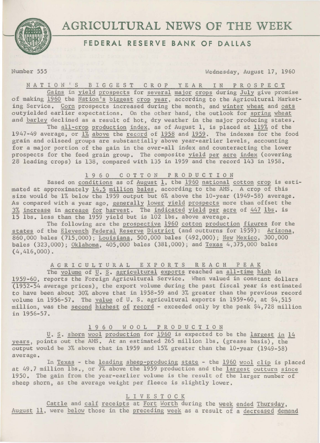

## **FEDERAL RESERVE BANK OF DALLAS**

Number 555 Wednesday, August 17, 1960

N A T I 0 N I s B I G G E S T C R 0 P YE AR I N P R 0 S P E C T Gains in yield prospects for several major crops during July give promise of making 1960 the Nation's biggest crop year, according to the Agricultural Marketing Service. Corn prospects increased during the month, and winter wheat and oats outyielded earlier expectations. On the other hand, the outlook for spring wheat and barley declined as a result of hot, dry weather in the major producing states.

The all-crop production index, as of August 1, is placed at 119% of the 1947-49 average, or 1% above the record of 1958 and 1959. The indexes for the food grain and oilseed groups are substantially above year-earlier levels, accounting for a major portion of the gain in the over-all index and counteracting the lower prospects for the feed grain group. The composite yield per acre index (covering 28 leading crops) is 138, compared with 135 in 1959 and the record 143 in 1958.

1960 COTTON PRODUCTION

Based on conditions as of August 1, the 1960 national cotton crop is estimated at approximately 14.5 million bales, according to the AMS. A crop of this size would be 1% below the 1959 output but 6% above the 10-year (1949-58) average. As compared with a year ago, generally lower yield prospects more than offset the 3% increase in acreage for harvest. The indicated yield per acre of 447 lbs. is 15 lbs. less than the 1959 yield but is 102 lbs. above average.

The following are the prospective 1960 cotton production figures for the states of the Eleventh Federal Reserve District (and outturns for 1959): Arizona, 860,000 bales (715,000); Louisiana, 500,000 bales (492,000); New Mexico, 300,000 bales (323,000); Oklahoma, 405,000 bales {381,000); and Texas 4,375,000 bales (4,416,000).

A G R I C U L T U R A L EXPORTS RE AC H P E A K

The volume of *U. S.* agricultural exports reached an all-time high in 1959-60, reports the Foreign Agricultural Service. When valued in constant dollars (1952-54 average prices), the export volume during the past fiscal year is estimated to have been about 30% above that in 1958-59 and 3% greater than the previous record volume in 1956-57. The value of U. S. agricultural exports in 1959-60, at \$4,515 million, was the second highest of record - exceeded only by the peak \$4,728 million in 1956-57.

1 9 6 0 W OOL PRODUCTION

*Q. S. shorn wool production for 1960 is expected to be the largest in 14* years, points out the AMS. At an estimated 265 million lbs. {grease basis), the output would be 3% above that in 1959 and 15% greater than the 10-year (1949-58) average.

In Texas - the leading sheep-producing state - the 1960 wool clip is placed at 49.7 million lbs., or 7% above the 1959 production and the largest outturn since 1950. The gain from the year-earlier volume is the result of the larger number of sheep shorn, as the average weight per fleece is slightly lower.

## L I V E S T 0 C K

Cattle and calf receipts at Fort Worth during the week ended Thursday, August 11, were below those in the preceding week as a result of a decreased demand